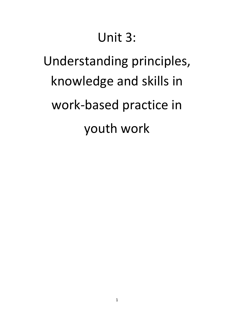# Unit 3:

# Understanding principles, knowledge and skills in work-based practice in youth work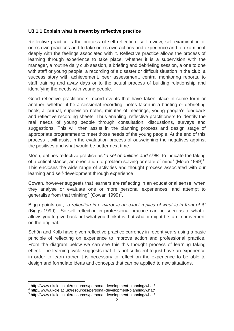#### **U3 1.1 Explain what is meant by reflective practice**

Reflective practice is the process of self-reflection, self-review, self-examination of one's own practices and to take one's own actions and experience and to examine it deeply with the feelings associated with it. Reflective practice allows the process of learning through experience to take place, whether it is a supervision with the manager, a routine daily club session, a briefing and debriefing session, a one to one with staff or young people, a recording of a disaster or difficult situation in the club, a success story with achievement, peer assessment, central monitoring reports, to staff training and away days or to the actual process of building relationship and identifying the needs with young people.

Good reflective practitioners record events that have taken place in some form or another, whether it be a sessional recording, notes taken in a briefing or debriefing book, a journal, supervision notes, minutes of meetings, young people's feedback and reflective recording sheets. Thus enabling, reflective practitioners to identify the real needs of young people through consultation, discussions, surveys and suggestions. This will then assist in the planning process and design stage of appropriate programmes to meet those needs of the young people. At the end of this process it will assist in the evaluation process of outweighing the negatives against the positives and what would be better next time.

Moon, defines reflective practice as "*a set of abilities and skills*, to indicate the taking of a critical stance, an orientation to problem solving or state of mind" (Moon 1999)<sup>1</sup>. This encloses the wide range of activities and thought process associated with our learning and self-development through experience.

Cowan, however suggests that learners are reflecting in an educational sense "when they analyse or evaluate one or more personal experiences, and attempt to generalise from that thinking" (Cowan 1999)<sup>2</sup>.

Biggs points out, "*a reflection in a mirror is an exact replica of what is in front of it"*  (Biggs 1999)<sup>3</sup>. So self reflection in professional practice can be seen as to what it allows you to give back not what you think it is, but what it might be, an improvement on the original.

Schön and Kolb have given reflective practice currency in recent years using a basic principle of reflecting on experience to improve action and professional practice. From the diagram below we can see this this thought process of learning taking effect. The learning cycle suggests that it is not sufficient to just have an experience in order to learn rather it is necessary to reflect on the experience to be able to design and formulate ideas and concepts that can be applied to new situations.

<sup>&</sup>lt;sup>1</sup> <http://www.ukcle.ac.uk/resources/personal-development-planning/what/>

<sup>&</sup>lt;sup>2</sup> <http://www.ukcle.ac.uk/resources/personal-development-planning/what/>

<sup>&</sup>lt;sup>3</sup> <http://www.ukcle.ac.uk/resources/personal-development-planning/what/>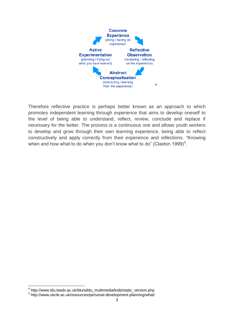

Therefore reflective practice is perhaps better known as an approach to which promotes independent learning through experience that aims to develop oneself to the level of being able to understand, reflect, review, conclude and replace if necessary for the better. The process is a continuous one and allows youth workers to develop and grow through their own learning experience, being able to reflect constructively and apply correctly from their experience and reflections. "Knowing when and how what to do when you don't know what to do" (Claxton 1999) $^5$ .

\_\_\_\_\_\_\_\_\_\_\_\_\_\_\_\_\_\_\_\_\_\_\_\_\_\_\_\_\_\_\_\_\_\_<br><sup>4</sup> [http://www.ldu.leeds.ac.uk/ldu/sddu\\_multimedia/kolb/static\\_version.php](http://www.ldu.leeds.ac.uk/ldu/sddu_multimedia/kolb/static_version.php)

<sup>5</sup> <http://www.ukcle.ac.uk/resources/personal-development-planning/what/>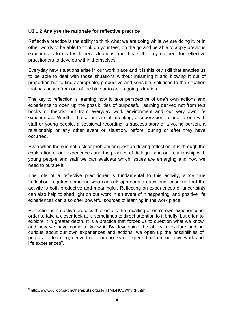#### **U3 1.2 Analyse the rationale for reflective practice**

Reflective practice is the ability to think what we are doing while we are doing it, or in other words to be able to think on your feet, on the go and be able to apply previous experiences to deal with new situations and this is the key element for reflective practitioners to develop within themselves.

Everyday new situations arise in our work place and it is this key skill that enables us to be able to deal with those situations without inflaming it and blowing it out of proportion but to find appropriate, productive and sensible, solutions to the situation that has arisen from out of the blue or to an on-going situation.

The key to reflection is learning how to take perspective of one's own actions and experience to open up the possibilities of purposeful learning derived not from text books or theorist but from everyday work environment and our very own life experiences. Whether these are a staff meeting, a supervision, a one to one with staff or young people, a sessional recording, a success story of a young person, a relationship or any other event or situation, before, during or after they have occurred.

Even when there is not a clear problem or question driving reflection, it is through the exploration of our experiences and the practice of dialogue and our relationship with young people and staff we can evaluate which issues are emerging and how we need to pursue it.

The role of a reflective practitioner is fundamental to this activity, since true 'reflection' requires someone who can ask appropriate questions, ensuring that the activity is both productive and meaningful. Reflecting on experiences of uncertainty can also help to shed light on our work in an event of it happening, and positive life experiences can also offer powerful sources of learning in the work place.

Reflection is an active process that entails the recalling of one's own experience in order to take a closer look at it, sometimes to direct attention to it briefly, but often to explore it in greater depth. It is a practice that forces us to question what we know and how we have come to know it. By developing the ability to explore and be curious about our own experiences and actions, we open up the possibilities of purposeful learning, derived not from books or experts but from our own work and life experiences<sup>6</sup>.

 6 <http://www.guildofpsychotherapists.org.uk/HTML/NCSWhyRP.html>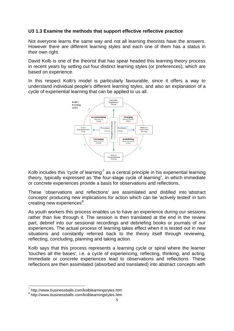#### **U3 1.3 Examine the methods that support effective reflective practice**

Not everyone learns the same way and not all learning theorists have the answers. However there are different learning styles and each one of them has a status in their own right.

David Kolb is one of the theorist that has spear headed this learning theory process in recent years by setting out four distinct learning styles (or preferences), which are based on experience.

In this respect Kolb's model is particularly favourable, since it offers a way to understand individual people's different learning styles, and also an explanation of a cycle of experiential learning that can be applied to us all.



Kolb includes this 'cycle of learning<sup>'7</sup> as a central principle in his experiential learning theory, typically expressed as "the four-stage cycle of learning", in which immediate or concrete experiences provide a basis for observations and reflections.

These 'observations and reflections' are assimilated and distilled into 'abstract concepts' producing new implications for action which can be 'actively tested' in turn creating new experiences<sup>8</sup>.

As youth workers this process enables us to have an experience during our sessions rather than live through it. The session is then translated at the end in the review part, debrief into our sessional recordings and debriefing books or journals of our experiences. The actual process of learning takes effect when it is tested out in new situations and constantly referred back to the theory itself through reviewing, reflecting, concluding, planning and taking action.

Kolb says that this process represents a learning cycle or spiral where the learner 'touches all the bases', i.e. a cycle of experiencing, reflecting, thinking, and acting. Immediate or concrete experiences lead to observations and reflections. These reflections are then assimilated (absorbed and translated) into abstract concepts with

<sup>7</sup> <http://www.businessballs.com/kolblearningstyles.htm>

<sup>8</sup> <http://www.businessballs.com/kolblearningstyles.htm>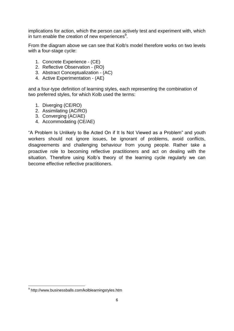implications for action, which the person can actively test and experiment with, which in turn enable the creation of new experiences<sup>9</sup>.

From the diagram above we can see that Kolb's model therefore works on two levels with a four-stage cycle:

- 1. Concrete Experience (CE)
- 2. Reflective Observation (RO)
- 3. Abstract Conceptualization (AC)
- 4. Active Experimentation (AE)

and a four-type definition of learning styles, each representing the combination of two preferred styles, for which Kolb used the terms:

- 1. Diverging (CE/RO)
- 2. Assimilating (AC/RO)
- 3. Converging (AC/AE)
- 4. Accommodating (CE/AE)

"A Problem Is Unlikely to Be Acted On if It Is Not Viewed as a Problem" and youth workers should not ignore issues, be ignorant of problems, avoid conflicts, disagreements and challenging behaviour from young people. Rather take a proactive role to becoming reflective practitioners and act on dealing with the situation. Therefore using Kolb's theory of the learning cycle regularly we can become effective reflective practitioners.

1

<sup>&</sup>lt;sup>9</sup> <http://www.businessballs.com/kolblearningstyles.htm>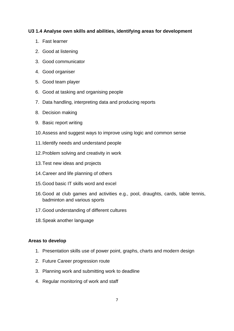#### **U3 1.4 Analyse own skills and abilities, identifying areas for development**

- 1. Fast learner
- 2. Good at listening
- 3. Good communicator
- 4. Good organiser
- 5. Good team player
- 6. Good at tasking and organising people
- 7. Data handling, interpreting data and producing reports
- 8. Decision making
- 9. Basic report writing
- 10.Assess and suggest ways to improve using logic and common sense
- 11.Identify needs and understand people
- 12.Problem solving and creativity in work
- 13.Test new ideas and projects
- 14.Career and life planning of others
- 15.Good basic IT skills word and excel
- 16.Good at club games and activities e.g., pool, draughts, cards, table tennis, badminton and various sports
- 17.Good understanding of different cultures
- 18.Speak another language

#### **Areas to develop**

- 1. Presentation skills use of power point, graphs, charts and modern design
- 2. Future Career progression route
- 3. Planning work and submitting work to deadline
- 4. Regular monitoring of work and staff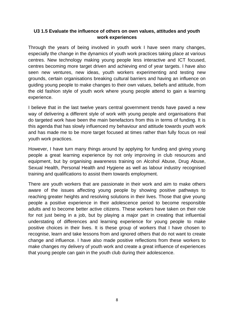#### **U3 1.5 Evaluate the influence of others on own values, attitudes and youth work experiences**

Through the years of being involved in youth work I have seen many changes, especially the change in the dynamics of youth work practices taking place at various centres. New technology making young people less interactive and ICT focused, centres becoming more target driven and achieving end of year targets. I have also seen new ventures, new ideas, youth workers experimenting and testing new grounds, certain organisations breaking cultural barriers and having an influence on guiding young people to make changes to their own values, beliefs and attitude, from the old fashion style of youth work where young people attend to gain a learning experience.

I believe that in the last twelve years central government trends have paved a new way of delivering a different style of work with young people and organisations that do targeted work have been the main benefactors from this in terms of funding. It is this agenda that has slowly influenced my behaviour and attitude towards youth work and has made me to be more target focused at times rather than fully focus on real youth work practices.

However, I have turn many things around by applying for funding and giving young people a great learning experience by not only improving in club resources and equipment, but by organising awareness training on Alcohol Abuse, Drug Abuse, Sexual Health, Personal Health and Hygiene as well as labour industry recognised training and qualifications to assist them towards employment.

There are youth workers that are passionate in their work and aim to make others aware of the issues affecting young people by showing positive pathways to reaching greater heights and resolving solutions in their lives. Those that give young people a positive experience in their adolescence period to become responsible adults and to become better active citizens. These workers have taken on their role for not just being in a job, but by playing a major part in creating that influential understating of differences and learning experience for young people to make positive choices in their lives. It is these group of workers that I have chosen to recognise, learn and take lessons from and ignored others that do not want to create change and influence. I have also made positive reflections from these workers to make changes my delivery of youth work and create a great influence of experiences that young people can gain in the youth club during their adolescence.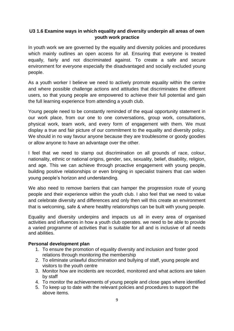# **U3 1.6 Examine ways in which equality and diversity underpin all areas of own youth work practice**

In youth work we are governed by the equality and diversity policies and procedures which mainly outlines an open access for all. Ensuring that everyone is treated equally, fairly and not discriminated against. To create a safe and secure environment for everyone especially the disadvantaged and socially excluded young people.

As a youth worker I believe we need to actively promote equality within the centre and where possible challenge actions and attitudes that discriminates the different users, so that young people are empowered to achieve their full potential and gain the full learning experience from attending a youth club.

Young people need to be constantly reminded of the equal opportunity statement in our work place, from our one to one conversations, group work, consultations, physical work, team work, and every form of engagement with them. We must display a true and fair picture of our commitment to the equality and diversity policy. We should in no way favour anyone because they are troublesome or goody goodies or allow anyone to have an advantage over the other.

I feel that we need to stamp out discrimination on all grounds of race, colour, nationality, ethnic or national origins, gender, sex, sexuality, belief, disability, religion, and age. This we can achieve through proactive engagement with young people, building positive relationships or even bringing in specialist trainers that can widen young people's horizon and understanding.

We also need to remove barriers that can hamper the progression route of young people and their experience within the youth club. I also feel that we need to value and celebrate diversity and differences and only then will this create an environment that is welcoming, safe & where healthy relationships can be built with young people.

Equality and diversity underpins and impacts us all in every area of organised activities and influences in how a youth club operates. we need to be able to provide a varied programme of activities that is suitable for all and is inclusive of all needs and abilities.

#### **Personal development plan**

- 1. To ensure the promotion of equality diversity and inclusion and foster good relations through monitoring the membership
- 2. To eliminate unlawful discrimination and bullying of staff, young people and visitors to the youth centre
- 3. Monitor how are incidents are recorded, monitored and what actions are taken by staff
- 4. To monitor the achievements of young people and close gaps where identified
- 5. To keep up to date with the relevant policies and procedures to support the above items.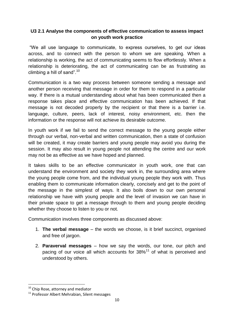# **U3 2.1 Analyse the components of effective communication to assess impact on youth work practice**

"We all use language to communicate, to express ourselves, to get our ideas across, and to connect with the person to whom we are speaking. When a relationship is working, the act of communicating seems to flow effortlessly. When a relationship is deteriorating, the act of communicating can be as frustrating as climbing a hill of sand". $10<sup>10</sup>$ 

Communication is a two way process between someone sending a message and another person receiving that message in order for them to respond in a particular way. If there is a mutual understanding about what has been communicated then a response takes place and effective communication has been achieved. If that message is not decoded properly by the recipient or that there is a barrier i.e. language, culture, peers, lack of interest, noisy environment, etc. then the information or the response will not achieve its desirable outcome.

In youth work if we fail to send the correct message to the young people either through our verbal, non-verbal and written communication, then a state of confusion will be created, it may create barriers and young people may avoid you during the session. It may also result in young people not attending the centre and our work may not be as effective as we have hoped and planned.

It takes skills to be an effective communicator in youth work, one that can understand the environment and society they work in, the surrounding area where the young people come from, and the individual young people they work with. Thus enabling them to communicate information clearly, concisely and get to the point of the message in the simplest of ways. It also boils down to our own personal relationship we have with young people and the level of invasion we can have in their private space to get a message through to them and young people deciding whether they choose to listen to you or not.

Communication involves three components as discussed above:

- 1. **The verbal message** the words we choose, is it brief succinct, organised and free of jargon.
- 2. **Paraverval messages** how we say the words, our tone, our pitch and pacing of our voice all which accounts for  $38\%$ <sup>11</sup> of what is perceived and understood by others.

<sup>&</sup>lt;sup>10</sup> Chip Rose, attorney and mediator

<sup>&</sup>lt;sup>11</sup> Professor Albert Mehrabian, Silent messages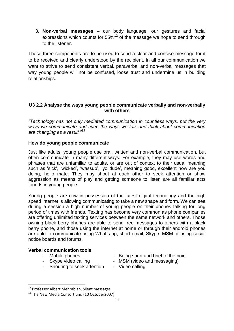3. **Non-verbal messages** – our body language, our gestures and facial expressions which counts for  $55\%$ <sup>12</sup> of the message we hope to send through to the listener.

These three components are to be used to send a clear and concise message for it to be received and clearly understood by the recipient. In all our communication we want to strive to send consistent verbal, paraverbal and non-verbal messages that way young people will not be confused, loose trust and undermine us in building relationships.

### **U3 2.2 Analyse the ways young people communicate verbally and non-verbally with others**

*"Technology has not only mediated communication in countless ways, but the very ways we communicate and even the ways we talk and think about communication are changing as a result."<sup>13</sup>*

# **How do young people communicate**

Just like adults, young people use oral, written and non-verbal communication, but often communicate in many different ways. For example, they may use words and phrases that are unfamiliar to adults, or are out of context to their usual meaning such as 'sick', 'wicked', 'wassup', 'yo dude', meaning good, excellent how are you doing, hello mate. They may shout at each other to seek attention or show aggression as means of play and getting someone to listen are all familiar acts founds in young people.

Young people are now in possession of the latest digital technology and the high speed internet is allowing communicating to take a new shape and form. We can see during a session a high number of young people on their phones talking for long period of times with friends. Texting has become very common as phone companies are offering unlimited texting services between the same network and others. Those owning black berry phones are able to send free messages to others with a black berry phone, and those using the internet at home or through their android phones are able to communicate using What's up, short email, Skype, MSM or using social notice boards and forums.

#### **Verbal communication tools**

- 
- 
- Shouting to seek attention Video calling
- Mobile phones Being short and brief to the point
- Skype video calling MSM (video and messaging)
	-

<sup>&</sup>lt;sup>12</sup> Professor Albert Mehrabian, Silent messages

<sup>&</sup>lt;sup>13</sup> The New Media Consortium. (10 October 2007)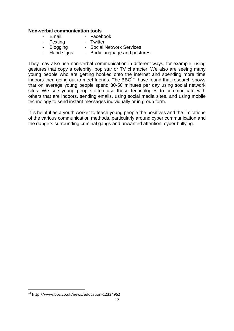#### **Non-verbal communication tools**

- Email Facebook<br>- Texting Twitter
	- Texting
- Blogging Social Network Services
- Hand signs Body language and postures

They may also use non-verbal communication in different ways, for example, using gestures that copy a celebrity, pop star or TV character. We also are seeing many young people who are getting hooked onto the internet and spending more time  $\mu$  indoors then going out to meet friends. The BBC<sup>14</sup> have found that research shows that on average young people spend 30-50 minutes per day using social network sites. We see young people often use these technologies to communicate with others that are indoors, sending emails, using social media sites, and using mobile technology to send instant messages individually or in group form.

It is helpful as a youth worker to teach young people the positives and the limitations of the various communication methods, particularly around cyber communication and the dangers surrounding criminal gangs and unwanted attention, cyber bullying.

 $\overline{\phantom{a}}$ 

<sup>&</sup>lt;sup>14</sup> <http://www.bbc.co.uk/news/education-12334962>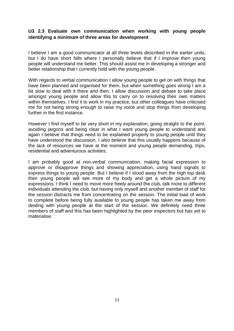#### **U3 2.3 Evaluate own communication when working with young people identifying a minimum of three areas for development**

I believe I am a good communicator at all three levels described in the earlier units, but I do have short falls where I personally believe that if I improve then young people will understand me better. This should assist me in developing a stronger and better relationship that I currently hold with the young people.

With regards to verbal communication I allow young people to get on with things that have been planned and organised for them, but when something goes wrong I am a bit slow to deal with it there and then. I allow discussion and debate to take place amongst young people and allow this to carry on to resolving their own matters within themselves. I find it to work in my practice, but other colleagues have criticised me for not being strong enough to raise my voice and stop things from developing further in the first instance.

However I find myself to be very short in my explanation, going straight to the point, avoiding jargons and being clear in what I want young people to understand and again I believe that things need to be explained properly to young people until they have understood the discussion. I also believe that this usually happens because of the lack of resources we have at the moment and young people demanding, trips, residential and adventurous activities.

I am probably good at non-verbal communication, making facial expression to approve or disapprove things and showing appreciation, using hand signals to express things to young people. But I believe if I stood away from the high top desk then young people will see more of my body and get a whole picture of my expressions. I think I need to move more freely around the club, talk more to different individuals attending the club, but having only myself and another member of staff for the session distracts me from concentrating on the session. The initial load of work to complete before being fully available to young people has taken me away from dealing with young people at the start of the session. We definitely need three members of staff and this has been highlighted by the peer inspectors but has yet to materialise.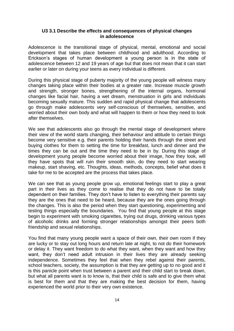#### **U3 3.1 Describe the effects and consequences of physical changes in adolescence**

Adolescence is the transitional stage of physical, mental, emotional and social development that takes place between childhood and adulthood. According to Erickson's stages of human development a young person is in the state of adolescence between 12 and 19 years of age but that does not mean that it can start earlier or later on during your teens as every individual is different.

During this physical stage of puberty majority of the young people will witness many changes taking place within their bodies at a greater rate. Increase muscle growth and strength, stronger bones, strengthening of the internal organs, hormonal changes like facial hair, having a wet dream, menstruation in girls and individuals becoming sexually mature. This sudden and rapid physical change that adolescents go through make adolescents very self-conscious of themselves, sensitive, and worried about their own body and what will happen to them or how they need to look after themselves.

We see that adolescents also go through the mental stage of development where their view of the world starts changing, their behaviour and attitude to certain things become very sensitive e.g. their parents holding their hands through the street and buying clothes for them to setting the time for breakfast, lunch and dinner and the times they can be out and the time they need to be in by. During this stage of development young people become worried about their image, how they look, will they have spots that will ruin their smooth skin, do they need to start wearing makeup, start shaving, etc. Thoughts, ideas, methods, concepts, belief what does it take for me to be accepted are the process that takes place.

We can see that as young people grow up, emotional feelings start to play a great part in their lives as they come to realise that they do not have to be totally dependent on their families. They don't have to listen to everything their parents say they are the ones that need to be heard, because they are the ones going through the changes. This is also the period when they start questioning, experimenting and testing things especially the boundaries. You find that young people at this stage begin to experiment with smoking cigarettes, trying out drugs, drinking various types of alcoholic drinks and forming stronger relationships amongst their peers both friendship and sexual relationships.

You find that many young people want a space of their own, their own room if they are lucky or to stay out long hours and return late at night, to not do their homework or delay it. They want freedom to do what they want, when they want and how they want, they don't need adult intrusion in their lives they are already seeking independence. Sometimes they feel that when they rebel against their parents, school teachers, society, the assumption is that they are getting up to no good and it is this panicle point when trust between a parent and their child start to break down, but what all parents want is to know is, that their child is safe and to give them what is best for them and that they are making the best decision for them, having experienced the world prior to their very own existence.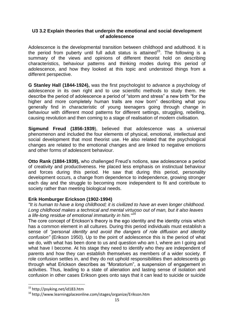#### **U3 3.2 Explain theories that underpin the emotional and social development of adolescence**

Adolescence is the developmental transition between childhood and adulthood. It is the period from puberty until full adult status is attained<sup>15</sup>. The following is a summary of the views and opinions of different theorist hold on describing characteristics, behaviour patterns and thinking modes during this period of adolescence, and how they looked at this topic and understood things from a different perspective.

**G Stanley Hall (1844-1924),** was the first psychologist to advance a psychology of adolescence in its own right and to use scientific methods to study them. He describe the period of adolescence a period of "storm and stress" a new birth "for the higher and more completely human traits are now born" describing what you generally find in characteristic of young teenagers going through change in behaviour with different mood patterns for different settings, struggling, rebelling, causing revolution and then coming to a stage of realisation of modern civilisation.

**Sigmund Freud (1856-1939**), believed that adolescence was a universal phenomenon and included the four elements of physical, emotional, intellectual and social development that most theorist use. He also related that the psychological changes are related to the emotional changes and are linked to negative emotions and other forms of adolescent behaviour.

**Otto Rank (1884-1939),** who challenged Freud's notions, saw adolescence a period of creativity and productiveness. He placed less emphasis on instinctual behaviour and forces during this period. He saw that during this period, personality development occurs, a change from dependence to independence, growing stronger each day and the struggle to becoming more independent to fit and contribute to society rather than meeting biological needs.

#### **Erik Homburger Erickson (1902-1994)**

*"It is human to have a long childhood; it is civilized to have an even longer childhood. Long childhood makes a technical and mental virtuoso out of man, but it also leaves a life-long residue of emotional immaturity in him."<sup>16</sup>*

The core concept of Erickson's theory is the ego identity and the identity crisis which has a common element in all cultures. During this period individuals must establish a sense of *"personal identity and avoid the dangers of role diffusion and identity confusion"* (Erikson 1950). Up to the point of adolescence this is the period of what we do, with what has been done to us and question who am I, where am I going and what have I become. At his stage they need to identify who they are independent of parents and how they can establish themselves as members of a wider society. If role confusion settles in, and they do not uphold responsibilities then adolescents go through what Erickson describes as "Moratorium", a suspension of engagement in activities. Thus, leading to a state of alienation and lasting sense of isolation and confusion in other cases Erikson goes onto says that it can lead to suicide or suicide

<sup>15</sup> http://psyking.net/id183.htm

<sup>&</sup>lt;sup>16</sup> http://www.learningplaceonline.com/stages/organize/Erikson.htm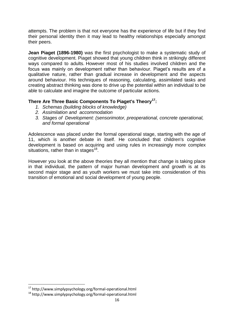attempts. The problem is that not everyone has the experience of life but if they find their personal identity then it may lead to healthy relationships especially amongst their peers.

**Jean Piaget (1896-1980)** was the first psychologist to make a systematic study of cognitive development. Piaget showed that young children think in strikingly different ways compared to adults. However most of his studies involved children and the focus was mainly on development rather than behaviour. Piaget's results are of a qualitative nature, rather than gradual increase in development and the aspects around behaviour. His techniques of reasoning, calculating, assimilated tasks and creating abstract thinking was done to drive up the potential within an individual to be able to calculate and imagine the outcome of particular actions.

# **There Are Three Basic Components To Piaget's Theory<sup>17</sup>:**

- *1. Schemas (building blocks of knowledge)*
- *2. Assimilation and accommodation*
- *3. Stages of Development: (sensorimotor, preoperational, concrete operational, and formal operational*

Adolescence was placed under the formal operational stage, starting with the age of 11, which is another debate in itself. He concluded that children's cognitive development is based on acquiring and using rules in increasingly more complex situations, rather than in stages $18$ .

However you look at the above theories they all mention that change is taking place in that individual, the pattern of major human development and growth is at its second major stage and as youth workers we must take into consideration of this transition of emotional and social development of young people.

<sup>17</sup> <http://www.simplypsychology.org/formal-operational.html>

<sup>18</sup> <http://www.simplypsychology.org/formal-operational.html>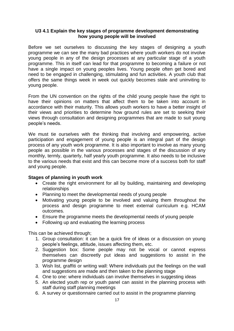#### **U3 4.1 Explain the key stages of programme development demonstrating how young people will be involved**

Before we set ourselves to discussing the key stages of designing a youth programme we can see the many bad practices where youth workers do not involve young people in any of the design processes at any particular stage of a youth programme. This in itself can lead for that programme to becoming a failure or not have a single impact on young peoples lives. Young people often get bored and need to be engaged in challenging, stimulating and fun activities. A youth club that offers the same things week in week out quickly becomes stale and uninviting to young people.

From the UN convention on the rights of the child young people have the right to have their opinions on matters that affect them to be taken into account in accordance with their maturity. This allows youth workers to have a better insight of their views and priorities to determine how ground rules are set to seeking their views through consultation and designing programmes that are made to suit young people's needs.

We must tie ourselves with the thinking that involving and empowering, active participation and engagement of young people is an integral part of the design process of any youth work programme. It is also important to involve as many young people as possible in the various processes and stages of the discussion of any monthly, termly, quarterly, half yearly youth programme. It also needs to be inclusive to the various needs that exist and this can become more of a success both for staff and young people.

#### **Stages of planning in youth work**

- Create the right environment for all by building, maintaining and developing relationships
- Planning to meet the developmental needs of young people
- Motivating young people to be involved and valuing them throughout the process and design programme to meet external curriculum e.g. HCAM outcomes.
- Ensure the programme meets the developmental needs of young people
- Following up and evaluating the learning process

This can be achieved through;

- 1. Group consultation: it can be a quick fire of ideas or a discussion on young people's feelings, attitude, issues affecting them, etc.
- 2. Suggestion box: Some people may not be vocal or cannot express themselves can discreetly put ideas and suggestions to assist in the programme design
- 3. Wish list, graffiti or writing wall: Where individuals put the feelings on the wall and suggestions are made and then taken to the planning stage
- 4. One to one: where individuals can involve themselves in suggesting ideas
- 5. An elected youth rep or youth panel can assist in the planning process with staff during staff planning meetings
- 6. A survey or questionnaire carried out to assist in the programme planning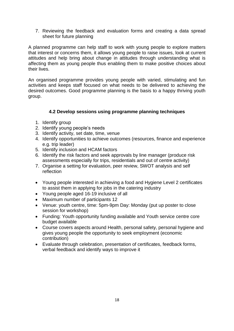7. Reviewing the feedback and evaluation forms and creating a data spread sheet for future planning

A planned programme can help staff to work with young people to explore matters that interest or concerns them, it allows young people to raise issues, look at current attitudes and help bring about change in attitudes through understanding what is affecting them as young people thus enabling them to make positive choices about their lives.

An organised programme provides young people with varied, stimulating and fun activities and keeps staff focused on what needs to be delivered to achieving the desired outcomes. Good programme planning is the basis to a happy thriving youth group.

#### **4.2 Develop sessions using programme planning techniques**

- 1. Identify group
- 2. Identify young people's needs
- 3. Identify activity, set date, time, venue
- 4. Identify opportunities to achieve outcomes (resources, finance and experience e.g. trip leader)
- 5. Identify inclusion and HCAM factors
- 6. Identify the risk factors and seek approvals by line manager (produce risk assessments especially for trips, residentials and out of centre activity)
- 7. Organise a setting for evaluation, peer review, SWOT analysis and self reflection
- Young people interested in achieving a food and Hygiene Level 2 certificates to assist them in applying for jobs in the catering industry
- Young people aged 16-19 inclusive of all
- Maximum number of participants 12
- Venue: youth centre, time: 5pm-9pm Day: Monday (put up poster to close session for workshop)
- Funding: Youth opportunity funding available and Youth service centre core budget available
- Course covers aspects around Health, personal safety, personal hygiene and gives young people the opportunity to seek employment (economic contribution)
- Evaluate through celebration, presentation of certificates, feedback forms, verbal feedback and identify ways to improve it